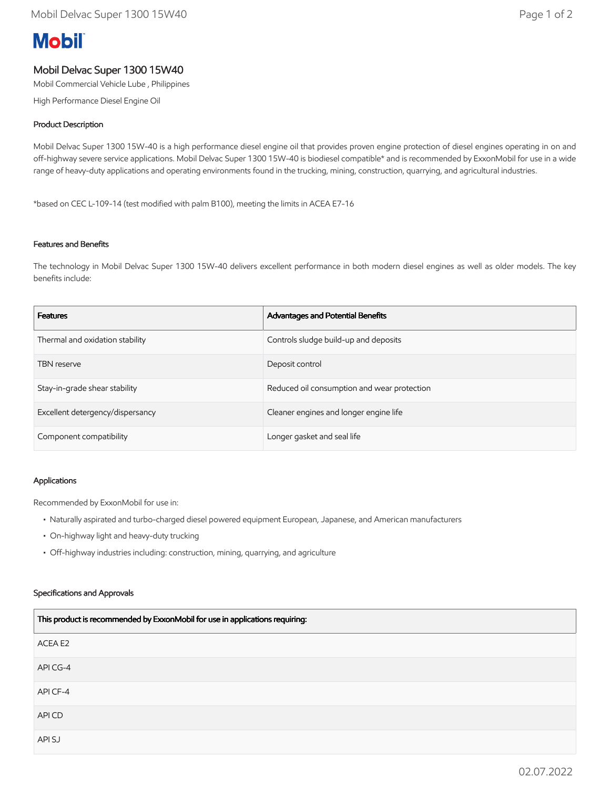# **Mobil**

# Mobil Delvac Super 1300 15W40

Mobil Commercial Vehicle Lube , Philippines

High Performance Diesel Engine Oil

## Product Description

Mobil Delvac Super 1300 15W-40 is a high performance diesel engine oil that provides proven engine protection of diesel engines operating in on and off-highway severe service applications. Mobil Delvac Super 1300 15W-40 is biodiesel compatible\* and is recommended by ExxonMobil for use in a wide range of heavy-duty applications and operating environments found in the trucking, mining, construction, quarrying, and agricultural industries.

\*based on CEC L-109-14 (test modified with palm B100), meeting the limits in ACEA E7-16

### Features and Benefits

The technology in Mobil Delvac Super 1300 15W-40 delivers excellent performance in both modern diesel engines as well as older models. The key benefits include:

| <b>Features</b>                  | Advantages and Potential Benefits           |
|----------------------------------|---------------------------------------------|
| Thermal and oxidation stability  | Controls sludge build-up and deposits       |
| <b>TBN</b> reserve               | Deposit control                             |
| Stay-in-grade shear stability    | Reduced oil consumption and wear protection |
| Excellent detergency/dispersancy | Cleaner engines and longer engine life      |
| Component compatibility          | Longer gasket and seal life                 |

#### Applications

Recommended by ExxonMobil for use in:

- Naturally aspirated and turbo-charged diesel powered equipment European, Japanese, and American manufacturers
- On-highway light and heavy-duty trucking
- Off-highway industries including: construction, mining, quarrying, and agriculture

#### Specifications and Approvals

| This product is recommended by ExxonMobil for use in applications requiring: |  |
|------------------------------------------------------------------------------|--|
| ACEA E2                                                                      |  |
| API CG-4                                                                     |  |
| API CF-4                                                                     |  |
| API CD                                                                       |  |
| API SJ                                                                       |  |